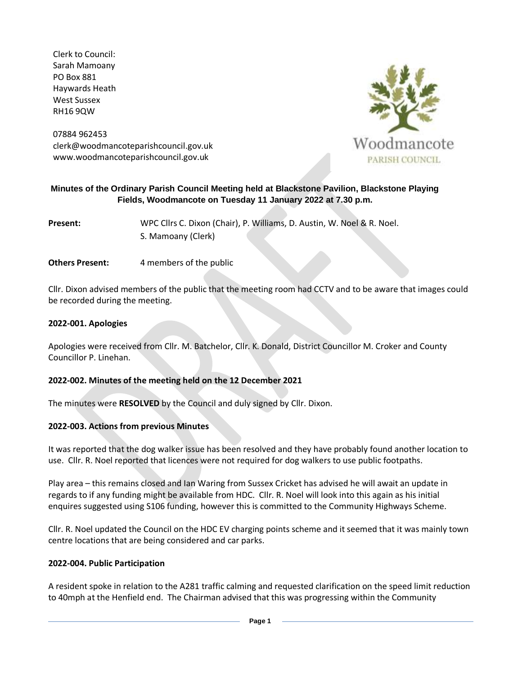Clerk to Council: Sarah Mamoany PO Box 881 Haywards Heath West Sussex RH16 9QW

07884 962453 clerk@woodmancoteparishcouncil.gov.uk www.woodmancoteparishcouncil.gov.uk



## **Minutes of the Ordinary Parish Council Meeting held at Blackstone Pavilion, Blackstone Playing Fields, Woodmancote on Tuesday 11 January 2022 at 7.30 p.m.**

**Present:** WPC Cllrs C. Dixon (Chair), P. Williams, D. Austin, W. Noel & R. Noel. S. Mamoany (Clerk)

**Others Present:** 4 members of the public

Cllr. Dixon advised members of the public that the meeting room had CCTV and to be aware that images could be recorded during the meeting.

### **2022-001. Apologies**

Apologies were received from Cllr. M. Batchelor, Cllr. K. Donald, District Councillor M. Croker and County Councillor P. Linehan.

#### **2022-002. Minutes of the meeting held on the 12 December 2021**

The minutes were **RESOLVED** by the Council and duly signed by Cllr. Dixon.

#### **2022-003. Actions from previous Minutes**

It was reported that the dog walker issue has been resolved and they have probably found another location to use. Cllr. R. Noel reported that licences were not required for dog walkers to use public footpaths.

Play area – this remains closed and Ian Waring from Sussex Cricket has advised he will await an update in regards to if any funding might be available from HDC. Cllr. R. Noel will look into this again as his initial enquires suggested using S106 funding, however this is committed to the Community Highways Scheme.

Cllr. R. Noel updated the Council on the HDC EV charging points scheme and it seemed that it was mainly town centre locations that are being considered and car parks.

#### **2022-004. Public Participation**

A resident spoke in relation to the A281 traffic calming and requested clarification on the speed limit reduction to 40mph at the Henfield end. The Chairman advised that this was progressing within the Community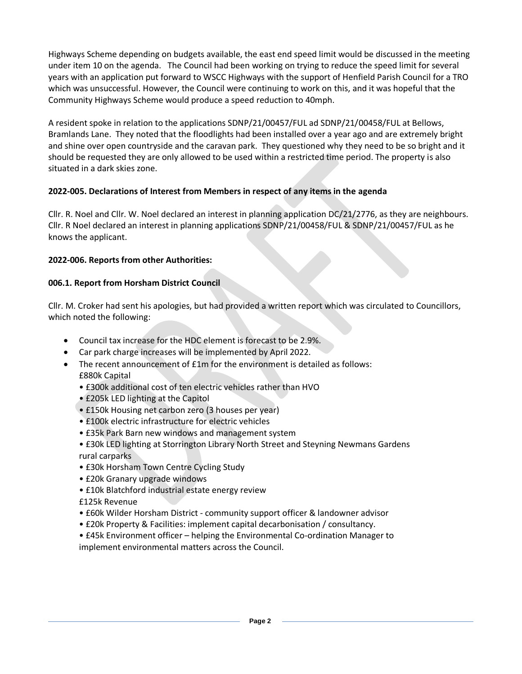Highways Scheme depending on budgets available, the east end speed limit would be discussed in the meeting under item 10 on the agenda. The Council had been working on trying to reduce the speed limit for several years with an application put forward to WSCC Highways with the support of Henfield Parish Council for a TRO which was unsuccessful. However, the Council were continuing to work on this, and it was hopeful that the Community Highways Scheme would produce a speed reduction to 40mph.

A resident spoke in relation to the applications SDNP/21/00457/FUL ad SDNP/21/00458/FUL at Bellows, Bramlands Lane. They noted that the floodlights had been installed over a year ago and are extremely bright and shine over open countryside and the caravan park. They questioned why they need to be so bright and it should be requested they are only allowed to be used within a restricted time period. The property is also situated in a dark skies zone.

## **2022-005. Declarations of Interest from Members in respect of any items in the agenda**

Cllr. R. Noel and Cllr. W. Noel declared an interest in planning application DC/21/2776, as they are neighbours. Cllr. R Noel declared an interest in planning applications SDNP/21/00458/FUL & SDNP/21/00457/FUL as he knows the applicant.

### **2022-006. Reports from other Authorities:**

### **006.1. Report from Horsham District Council**

Cllr. M. Croker had sent his apologies, but had provided a written report which was circulated to Councillors, which noted the following:

- Council tax increase for the HDC element is forecast to be 2.9%.
- Car park charge increases will be implemented by April 2022.
- The recent announcement of £1m for the environment is detailed as follows: £880k Capital
	- £300k additional cost of ten electric vehicles rather than HVO
	- £205k LED lighting at the Capitol
	- £150k Housing net carbon zero (3 houses per year)
	- £100k electric infrastructure for electric vehicles
	- £35k Park Barn new windows and management system
	- £30k LED lighting at Storrington Library North Street and Steyning Newmans Gardens rural carparks
	- £30k Horsham Town Centre Cycling Study
	- £20k Granary upgrade windows
	- £10k Blatchford industrial estate energy review
	- £125k Revenue
	- £60k Wilder Horsham District community support officer & landowner advisor
	- £20k Property & Facilities: implement capital decarbonisation / consultancy.
	- £45k Environment officer helping the Environmental Co-ordination Manager to implement environmental matters across the Council.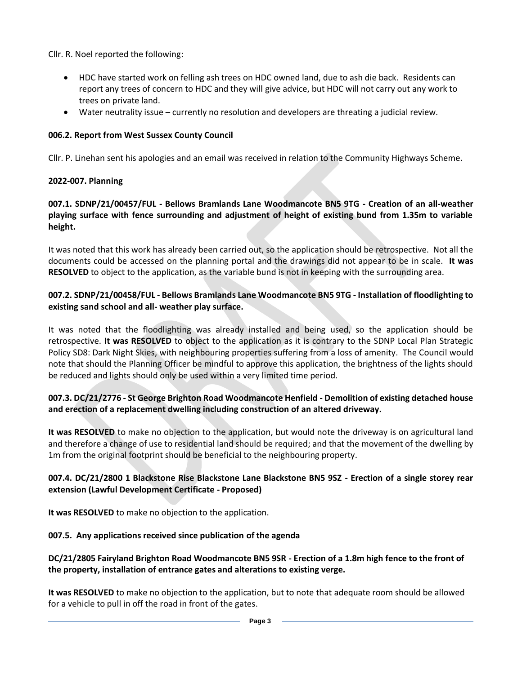Cllr. R. Noel reported the following:

- HDC have started work on felling ash trees on HDC owned land, due to ash die back. Residents can report any trees of concern to HDC and they will give advice, but HDC will not carry out any work to trees on private land.
- Water neutrality issue currently no resolution and developers are threating a judicial review.

# **006.2. Report from West Sussex County Council**

Cllr. P. Linehan sent his apologies and an email was received in relation to the Community Highways Scheme.

# **2022-007. Planning**

# **007.1. SDNP/21/00457/FUL - Bellows Bramlands Lane Woodmancote BN5 9TG - Creation of an all-weather playing surface with fence surrounding and adjustment of height of existing bund from 1.35m to variable height.**

It was noted that this work has already been carried out, so the application should be retrospective. Not all the documents could be accessed on the planning portal and the drawings did not appear to be in scale. **It was RESOLVED** to object to the application, as the variable bund is not in keeping with the surrounding area.

## **007.2. SDNP/21/00458/FUL - Bellows Bramlands Lane Woodmancote BN5 9TG - Installation of floodlighting to existing sand school and all- weather play surface.**

It was noted that the floodlighting was already installed and being used, so the application should be retrospective. **It was RESOLVED** to object to the application as it is contrary to the SDNP Local Plan Strategic Policy SD8: Dark Night Skies, with neighbouring properties suffering from a loss of amenity. The Council would note that should the Planning Officer be mindful to approve this application, the brightness of the lights should be reduced and lights should only be used within a very limited time period.

## **007.3. DC/21/2776 - St George Brighton Road Woodmancote Henfield - Demolition of existing detached house and erection of a replacement dwelling including construction of an altered driveway.**

**It was RESOLVED** to make no objection to the application, but would note the driveway is on agricultural land and therefore a change of use to residential land should be required; and that the movement of the dwelling by 1m from the original footprint should be beneficial to the neighbouring property.

# **007.4. DC/21/2800 1 Blackstone Rise Blackstone Lane Blackstone BN5 9SZ - Erection of a single storey rear extension (Lawful Development Certificate - Proposed)**

**It was RESOLVED** to make no objection to the application.

## **007.5. Any applications received since publication of the agenda**

# **DC/21/2805 Fairyland Brighton Road Woodmancote BN5 9SR - Erection of a 1.8m high fence to the front of the property, installation of entrance gates and alterations to existing verge.**

**It was RESOLVED** to make no objection to the application, but to note that adequate room should be allowed for a vehicle to pull in off the road in front of the gates.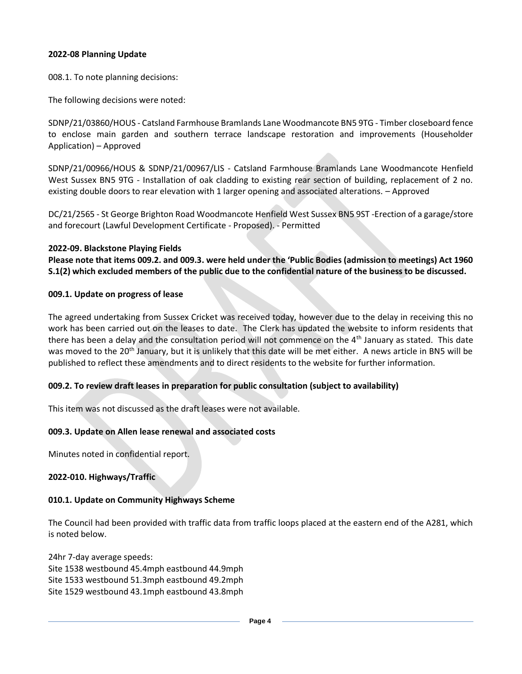## **2022-08 Planning Update**

008.1. To note planning decisions:

The following decisions were noted:

SDNP/21/03860/HOUS - Catsland Farmhouse Bramlands Lane Woodmancote BN5 9TG - Timber closeboard fence to enclose main garden and southern terrace landscape restoration and improvements (Householder Application) – Approved

SDNP/21/00966/HOUS & SDNP/21/00967/LIS - Catsland Farmhouse Bramlands Lane Woodmancote Henfield West Sussex BN5 9TG - Installation of oak cladding to existing rear section of building, replacement of 2 no. existing double doors to rear elevation with 1 larger opening and associated alterations. – Approved

DC/21/2565 - St George Brighton Road Woodmancote Henfield West Sussex BN5 9ST -Erection of a garage/store and forecourt (Lawful Development Certificate - Proposed). - Permitted

#### **2022-09. Blackstone Playing Fields**

**Please note that items 009.2. and 009.3. were held under the 'Public Bodies (admission to meetings) Act 1960 S.1(2) which excluded members of the public due to the confidential nature of the business to be discussed.** 

#### **009.1. Update on progress of lease**

The agreed undertaking from Sussex Cricket was received today, however due to the delay in receiving this no work has been carried out on the leases to date. The Clerk has updated the website to inform residents that there has been a delay and the consultation period will not commence on the  $4<sup>th</sup>$  January as stated. This date was moved to the 20<sup>th</sup> January, but it is unlikely that this date will be met either. A news article in BN5 will be published to reflect these amendments and to direct residents to the website for further information.

#### **009.2. To review draft leases in preparation for public consultation (subject to availability)**

This item was not discussed as the draft leases were not available.

#### **009.3. Update on Allen lease renewal and associated costs**

Minutes noted in confidential report.

#### **2022-010. Highways/Traffic**

#### **010.1. Update on Community Highways Scheme**

The Council had been provided with traffic data from traffic loops placed at the eastern end of the A281, which is noted below.

24hr 7-day average speeds: Site 1538 westbound 45.4mph eastbound 44.9mph Site 1533 westbound 51.3mph eastbound 49.2mph Site 1529 westbound 43.1mph eastbound 43.8mph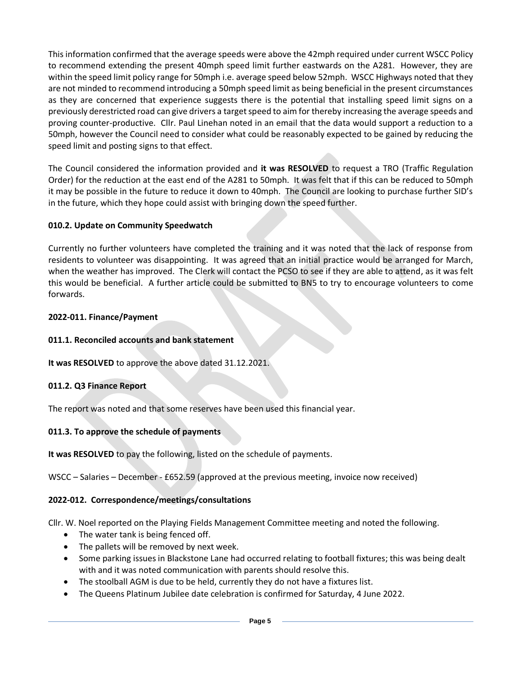This information confirmed that the average speeds were above the 42mph required under current WSCC Policy to recommend extending the present 40mph speed limit further eastwards on the A281. However, they are within the speed limit policy range for 50mph i.e. average speed below 52mph. WSCC Highways noted that they are not minded to recommend introducing a 50mph speed limit as being beneficial in the present circumstances as they are concerned that experience suggests there is the potential that installing speed limit signs on a previously derestricted road can give drivers a target speed to aim for thereby increasing the average speeds and proving counter-productive. Cllr. Paul Linehan noted in an email that the data would support a reduction to a 50mph, however the Council need to consider what could be reasonably expected to be gained by reducing the speed limit and posting signs to that effect.

The Council considered the information provided and **it was RESOLVED** to request a TRO (Traffic Regulation Order) for the reduction at the east end of the A281 to 50mph. It was felt that if this can be reduced to 50mph it may be possible in the future to reduce it down to 40mph. The Council are looking to purchase further SID's in the future, which they hope could assist with bringing down the speed further.

## **010.2. Update on Community Speedwatch**

Currently no further volunteers have completed the training and it was noted that the lack of response from residents to volunteer was disappointing. It was agreed that an initial practice would be arranged for March, when the weather has improved. The Clerk will contact the PCSO to see if they are able to attend, as it was felt this would be beneficial. A further article could be submitted to BN5 to try to encourage volunteers to come forwards.

### **2022-011. Finance/Payment**

#### **011.1. Reconciled accounts and bank statement**

**It was RESOLVED** to approve the above dated 31.12.2021.

#### **011.2. Q3 Finance Report**

The report was noted and that some reserves have been used this financial year.

## **011.3. To approve the schedule of payments**

**It was RESOLVED** to pay the following, listed on the schedule of payments.

WSCC – Salaries – December - £652.59 (approved at the previous meeting, invoice now received)

## **2022-012. Correspondence/meetings/consultations**

Cllr. W. Noel reported on the Playing Fields Management Committee meeting and noted the following.

- The water tank is being fenced off.
- The pallets will be removed by next week.
- Some parking issues in Blackstone Lane had occurred relating to football fixtures; this was being dealt with and it was noted communication with parents should resolve this.
- The stoolball AGM is due to be held, currently they do not have a fixtures list.
- The Queens Platinum Jubilee date celebration is confirmed for Saturday, 4 June 2022.